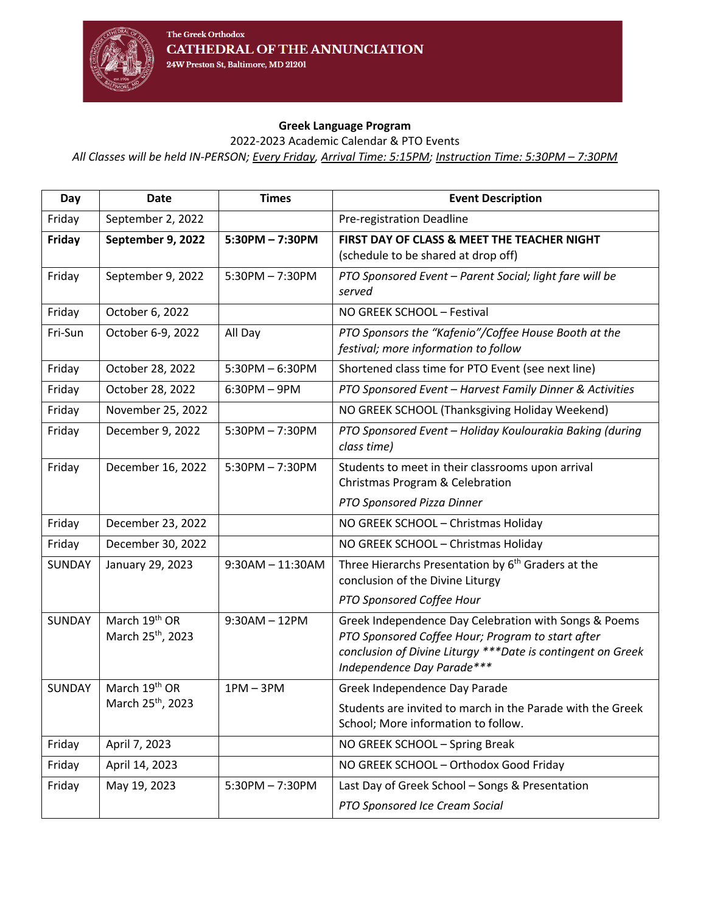

## **Greek Language Program**

2022-2023 Academic Calendar & PTO Events

*All Classes will be held IN-PERSON; Every Friday, Arrival Time: 5:15PM; Instruction Time: 5:30PM – 7:30PM*

| Day           | Date                                           | <b>Times</b>       | <b>Event Description</b>                                                                                                                                                                                 |
|---------------|------------------------------------------------|--------------------|----------------------------------------------------------------------------------------------------------------------------------------------------------------------------------------------------------|
| Friday        | September 2, 2022                              |                    | Pre-registration Deadline                                                                                                                                                                                |
| Friday        | September 9, 2022                              | $5:30PM - 7:30PM$  | FIRST DAY OF CLASS & MEET THE TEACHER NIGHT<br>(schedule to be shared at drop off)                                                                                                                       |
| Friday        | September 9, 2022                              | $5:30PM - 7:30PM$  | PTO Sponsored Event - Parent Social; light fare will be<br>served                                                                                                                                        |
| Friday        | October 6, 2022                                |                    | NO GREEK SCHOOL - Festival                                                                                                                                                                               |
| Fri-Sun       | October 6-9, 2022                              | All Day            | PTO Sponsors the "Kafenio"/Coffee House Booth at the<br>festival; more information to follow                                                                                                             |
| Friday        | October 28, 2022                               | $5:30PM - 6:30PM$  | Shortened class time for PTO Event (see next line)                                                                                                                                                       |
| Friday        | October 28, 2022                               | $6:30PM - 9PM$     | PTO Sponsored Event - Harvest Family Dinner & Activities                                                                                                                                                 |
| Friday        | November 25, 2022                              |                    | NO GREEK SCHOOL (Thanksgiving Holiday Weekend)                                                                                                                                                           |
| Friday        | December 9, 2022                               | $5:30PM - 7:30PM$  | PTO Sponsored Event - Holiday Koulourakia Baking (during<br>class time)                                                                                                                                  |
| Friday        | December 16, 2022                              | $5:30PM - 7:30PM$  | Students to meet in their classrooms upon arrival<br>Christmas Program & Celebration                                                                                                                     |
|               |                                                |                    | PTO Sponsored Pizza Dinner                                                                                                                                                                               |
| Friday        | December 23, 2022                              |                    | NO GREEK SCHOOL - Christmas Holiday                                                                                                                                                                      |
| Friday        | December 30, 2022                              |                    | NO GREEK SCHOOL - Christmas Holiday                                                                                                                                                                      |
| <b>SUNDAY</b> | January 29, 2023                               | $9:30AM - 11:30AM$ | Three Hierarchs Presentation by 6 <sup>th</sup> Graders at the<br>conclusion of the Divine Liturgy                                                                                                       |
|               |                                                |                    | PTO Sponsored Coffee Hour                                                                                                                                                                                |
| <b>SUNDAY</b> | March 19th OR<br>March 25 <sup>th</sup> , 2023 | $9:30AM - 12PM$    | Greek Independence Day Celebration with Songs & Poems<br>PTO Sponsored Coffee Hour; Program to start after<br>conclusion of Divine Liturgy *** Date is contingent on Greek<br>Independence Day Parade*** |
| <b>SUNDAY</b> | March 19th OR                                  | $1PM - 3PM$        | Greek Independence Day Parade                                                                                                                                                                            |
|               | March 25 <sup>th</sup> , 2023                  |                    | Students are invited to march in the Parade with the Greek<br>School; More information to follow.                                                                                                        |
| Friday        | April 7, 2023                                  |                    | NO GREEK SCHOOL - Spring Break                                                                                                                                                                           |
| Friday        | April 14, 2023                                 |                    | NO GREEK SCHOOL - Orthodox Good Friday                                                                                                                                                                   |
| Friday        | May 19, 2023                                   | $5:30PM - 7:30PM$  | Last Day of Greek School - Songs & Presentation                                                                                                                                                          |
|               |                                                |                    | PTO Sponsored Ice Cream Social                                                                                                                                                                           |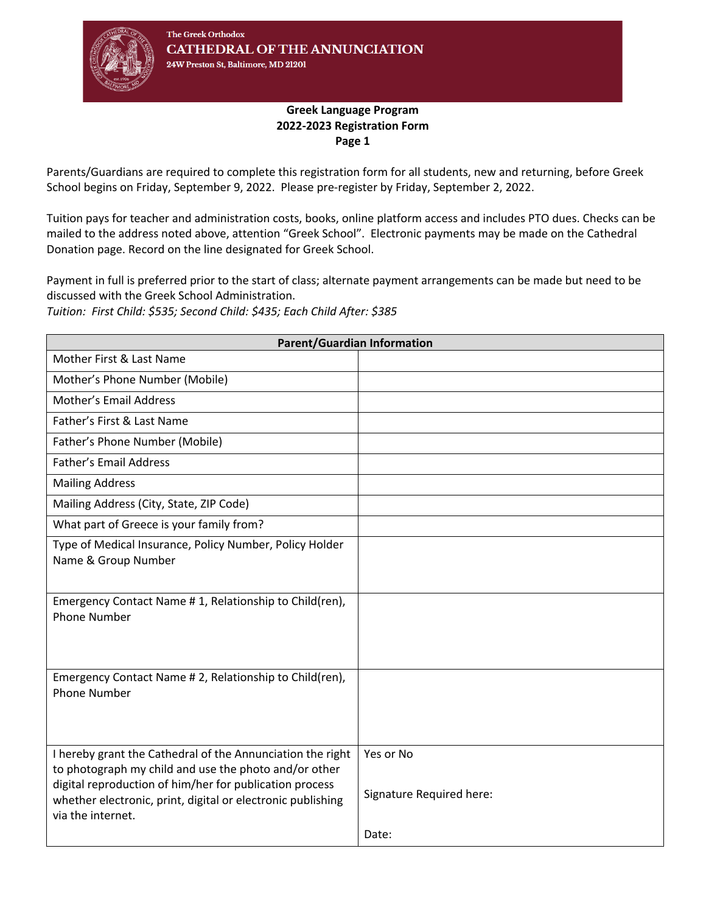

## **Greek Language Program 2022-2023 Registration Form Page 1**

Parents/Guardians are required to complete this registration form for all students, new and returning, before Greek School begins on Friday, September 9, 2022. Please pre-register by Friday, September 2, 2022.

Tuition pays for teacher and administration costs, books, online platform access and includes PTO dues. Checks can be mailed to the address noted above, attention "Greek School". Electronic payments may be made on the Cathedral Donation page. Record on the line designated for Greek School.

Payment in full is preferred prior to the start of class; alternate payment arrangements can be made but need to be discussed with the Greek School Administration.

*Tuition: First Child: \$535; Second Child: \$435; Each Child After: \$385*

| <b>Parent/Guardian Information</b>                                                                                                                                                                                                                                 |                                                |  |  |  |  |
|--------------------------------------------------------------------------------------------------------------------------------------------------------------------------------------------------------------------------------------------------------------------|------------------------------------------------|--|--|--|--|
| Mother First & Last Name                                                                                                                                                                                                                                           |                                                |  |  |  |  |
| Mother's Phone Number (Mobile)                                                                                                                                                                                                                                     |                                                |  |  |  |  |
| <b>Mother's Email Address</b>                                                                                                                                                                                                                                      |                                                |  |  |  |  |
| Father's First & Last Name                                                                                                                                                                                                                                         |                                                |  |  |  |  |
| Father's Phone Number (Mobile)                                                                                                                                                                                                                                     |                                                |  |  |  |  |
| <b>Father's Email Address</b>                                                                                                                                                                                                                                      |                                                |  |  |  |  |
| <b>Mailing Address</b>                                                                                                                                                                                                                                             |                                                |  |  |  |  |
| Mailing Address (City, State, ZIP Code)                                                                                                                                                                                                                            |                                                |  |  |  |  |
| What part of Greece is your family from?                                                                                                                                                                                                                           |                                                |  |  |  |  |
| Type of Medical Insurance, Policy Number, Policy Holder<br>Name & Group Number                                                                                                                                                                                     |                                                |  |  |  |  |
| Emergency Contact Name #1, Relationship to Child(ren),<br><b>Phone Number</b>                                                                                                                                                                                      |                                                |  |  |  |  |
| Emergency Contact Name # 2, Relationship to Child(ren),<br><b>Phone Number</b>                                                                                                                                                                                     |                                                |  |  |  |  |
| I hereby grant the Cathedral of the Annunciation the right<br>to photograph my child and use the photo and/or other<br>digital reproduction of him/her for publication process<br>whether electronic, print, digital or electronic publishing<br>via the internet. | Yes or No<br>Signature Required here:<br>Date: |  |  |  |  |
|                                                                                                                                                                                                                                                                    |                                                |  |  |  |  |